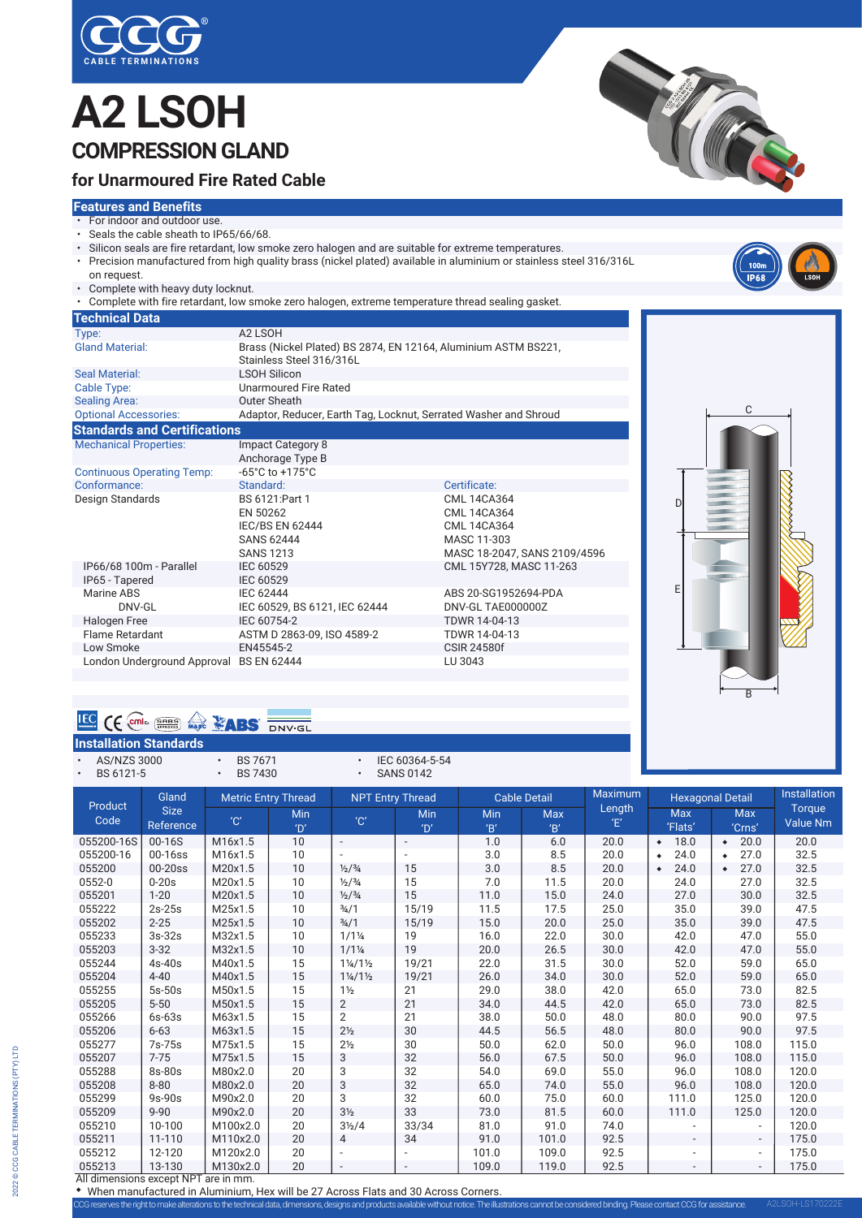

# **A2 LSOH COMPRESSION GLAND**



#### **Features and Benefits**

**Technical Data**

Seal Material:

Sealing Area:

- For indoor and outdoor use.
- Seals the cable sheath to IP65/66/68.
- Silicon seals are fire retardant, low smoke zero halogen and are suitable for extreme temperatures.
- Precision manufactured from high quality brass (nickel plated) available in aluminium or stainless steel 316/316L on request.

 IEC/BS EN 62444 CML 14CA364 SANS 62444<br>SANS 1213 MASC 18-204

IEC 60529 CML 15Y728, MASC 11-263<br>IEC 60529

SANS 1213 MASC 18-2047, SANS 2109/4596<br>IP66/68 100m - Parallel IEC 60529 CML 15Y728, MASC 11-263

ABS 1992 IEC 62444<br>
MARINE ABS 20-SG1952694-PDA<br>
TRING ABS 20-SG1952694-PDA<br>
TRING ABS 20-SG1952694-PDA

IEC 60529, BS 6121, IEC 62444 Halogen Free IEC 60754-2 TDWR 14-04-13 ASTM D 2863-09, ISO 4589-2 Low Smoke EN45545-2 CSIR 24580f

• Complete with heavy duty locknut.

Type: A2 LSOH

Cable Type: Unarmoured Fire Rated<br>
Sealing Area: Couter Sheath

Mechanical Properties: Impact Category 8

Design Standards BS 6121:P<br>EN 50262

IP65 - Tapered IEC 60529<br>Marine ABS IEC 62444

**Standards and Certifications**

Continuous Operating Temp:

• Complete with fire retardant, low smoke zero halogen, extreme temperature thread sealing gasket.

Gland Material: Brass (Nickel Plated) BS 2874, EN 12164, Aluminium ASTM BS221, Stainless Steel 316/316L<br>LSOH Silicon

Optional Accessories: Adaptor, Reducer, Earth Tag, Locknut, Serrated Washer and Shroud

Anchorage Type B<br>-65°C to +175°C

Conformance: Standard: Standard: Certificate: Certificate: Conformance: Certificate: CML 14CA364

| 100m        |             |
|-------------|-------------|
| <b>IP68</b> | <b>LSOH</b> |
|             |             |

TIFE

D E C B

### **EG CE** COME: **ERRED AND STRUCK**

London Underground Approval BS EN 62444

|           |             | <b>Installation Standards</b> |                            |                         |                     |         |                         |              |
|-----------|-------------|-------------------------------|----------------------------|-------------------------|---------------------|---------|-------------------------|--------------|
|           | AS/NZS 3000 |                               | <b>BS 7671</b>             | IEC 60364-5-54          |                     |         |                         |              |
| BS 6121-5 |             |                               | <b>BS 7430</b>             | <b>SANS 0142</b>        |                     |         |                         |              |
|           | Deadline    | Gland                         | <b>Metric Entry Thread</b> | <b>NPT Entry Thread</b> | <b>Cable Detail</b> | Maximum | <b>Hexagonal Detail</b> | Installation |

CML 14CA364

| Product                              |                  | Gland<br><b>Metric Entry Thread</b> |                | <b>NPT Entry Thread</b>         |                          | Cable Detail |            | Maximum     | <b>Hexagonal Detail</b>  |                   | mstallation   |
|--------------------------------------|------------------|-------------------------------------|----------------|---------------------------------|--------------------------|--------------|------------|-------------|--------------------------|-------------------|---------------|
| Code                                 | <b>Size</b>      | $^{\prime}$ C $^{\prime}$           | Min            | $^{\prime}$ C $^{\prime}$       | Min                      | Min          | <b>Max</b> | Length<br>Έ | Max                      | <b>Max</b>        | <b>Torque</b> |
|                                      | <b>Reference</b> |                                     | $^{\prime}$ D' |                                 | $^{\prime}$ D'           | B'           | B'         |             | 'Flats'                  | 'Crns'            | Value Nm      |
| 055200-16S                           | 00-16S           | M16x1.5                             | 10             | $\overline{\phantom{a}}$        | $\overline{\phantom{a}}$ | 1.0          | 6.0        | 20.0        | 18.0<br>$\bullet$        | 20.0<br>$\bullet$ | 20.0          |
| 055200-16                            | 00-16ss          | M16x1.5                             | 10             |                                 |                          | 3.0          | 8.5        | 20.0        | 24.0<br>$\bullet$        | 27.0<br>٠         | 32.5          |
| 055200                               | 00-20ss          | M20x1.5                             | 10             | $\frac{1}{2}$ / $\frac{3}{4}$   | 15                       | 3.0          | 8.5        | 20.0        | 24.0<br>$\bullet$        | 27.0<br>٠         | 32.5          |
| 0552-0                               | $0-20s$          | M20x1.5                             | 10             | $\frac{1}{2}$ / $\frac{3}{4}$   | 15                       | 7.0          | 11.5       | 20.0        | 24.0                     | 27.0              | 32.5          |
| 055201                               | $1 - 20$         | M20x1.5                             | 10             | $\frac{1}{2}$ / $\frac{3}{4}$   | 15                       | 11.0         | 15.0       | 24.0        | 27.0                     | 30.0              | 32.5          |
| 055222                               | $2s-25s$         | M25x1.5                             | 10             | $\frac{3}{4}$ /1                | 15/19                    | 11.5         | 17.5       | 25.0        | 35.0                     | 39.0              | 47.5          |
| 055202                               | $2 - 25$         | M25x1.5                             | 10             | $\frac{3}{4}$ /1                | 15/19                    | 15.0         | 20.0       | 25.0        | 35.0                     | 39.0              | 47.5          |
| 055233                               | $3s-32s$         | M32x1.5                             | 10             | $1/1\frac{1}{4}$                | 19                       | 16.0         | 22.0       | 30.0        | 42.0                     | 47.0              | 55.0          |
| 055203                               | $3 - 32$         | M32x1.5                             | 10             | $1/1\frac{1}{4}$                | 19                       | 20.0         | 26.5       | 30.0        | 42.0                     | 47.0              | 55.0          |
| 055244                               | 4s-40s           | M40x1.5                             | 15             | $1\frac{1}{4}$ /1 $\frac{1}{2}$ | 19/21                    | 22.0         | 31.5       | 30.0        | 52.0                     | 59.0              | 65.0          |
| 055204                               | $4 - 40$         | M40x1.5                             | 15             | $1\frac{1}{4}$ /1 $\frac{1}{2}$ | 19/21                    | 26.0         | 34.0       | 30.0        | 52.0                     | 59.0              | 65.0          |
| 055255                               | $5s-50s$         | M50x1.5                             | 15             | $1\frac{1}{2}$                  | 21                       | 29.0         | 38.0       | 42.0        | 65.0                     | 73.0              | 82.5          |
| 055205                               | $5 - 50$         | M50x1.5                             | 15             | $\overline{2}$                  | 21                       | 34.0         | 44.5       | 42.0        | 65.0                     | 73.0              | 82.5          |
| 055266                               | $6s-63s$         | M63x1.5                             | 15             | $\overline{2}$                  | 21                       | 38.0         | 50.0       | 48.0        | 80.0                     | 90.0              | 97.5          |
| 055206                               | $6 - 63$         | M63x1.5                             | 15             | 2 <sub>2</sub>                  | 30                       | 44.5         | 56.5       | 48.0        | 80.0                     | 90.0              | 97.5          |
| 055277                               | 7s-75s           | M75x1.5                             | 15             | 2 <sub>2</sub>                  | 30                       | 50.0         | 62.0       | 50.0        | 96.0                     | 108.0             | 115.0         |
| 055207                               | $7 - 75$         | M75x1.5                             | 15             | 3                               | 32                       | 56.0         | 67.5       | 50.0        | 96.0                     | 108.0             | 115.0         |
| 055288                               | 8s-80s           | M80x2.0                             | 20             | 3                               | 32                       | 54.0         | 69.0       | 55.0        | 96.0                     | 108.0             | 120.0         |
| 055208                               | $8 - 80$         | M80x2.0                             | 20             | 3                               | 32                       | 65.0         | 74.0       | 55.0        | 96.0                     | 108.0             | 120.0         |
| 055299                               | $9s-90s$         | M90x2.0                             | 20             | 3                               | 32                       | 60.0         | 75.0       | 60.0        | 111.0                    | 125.0             | 120.0         |
| 055209                               | $9 - 90$         | M90x2.0                             | 20             | 3 <sub>2</sub>                  | 33                       | 73.0         | 81.5       | 60.0        | 111.0                    | 125.0             | 120.0         |
| 055210                               | 10-100           | M100x2.0                            | 20             | $3\frac{1}{2}/4$                | 33/34                    | 81.0         | 91.0       | 74.0        |                          |                   | 120.0         |
| 055211                               | 11-110           | M110x2.0                            | 20             | 4                               | 34                       | 91.0         | 101.0      | 92.5        | $\overline{\phantom{a}}$ | $\sim$            | 175.0         |
| 055212                               | 12-120           | M120x2.0                            | 20             |                                 |                          | 101.0        | 109.0      | 92.5        | $\overline{\phantom{a}}$ | $\sim$            | 175.0         |
| 055213                               | 13-130           | M130x2.0                            | 20             | $\bar{\phantom{a}}$             | $\overline{\phantom{a}}$ | 109.0        | 119.0      | 92.5        | $\overline{\phantom{a}}$ | ٠                 | 175.0         |
| All dimensions avecant NDT are in mm |                  |                                     |                |                                 |                          |              |            |             |                          |                   |               |

All dimensions except NPT are in mm.